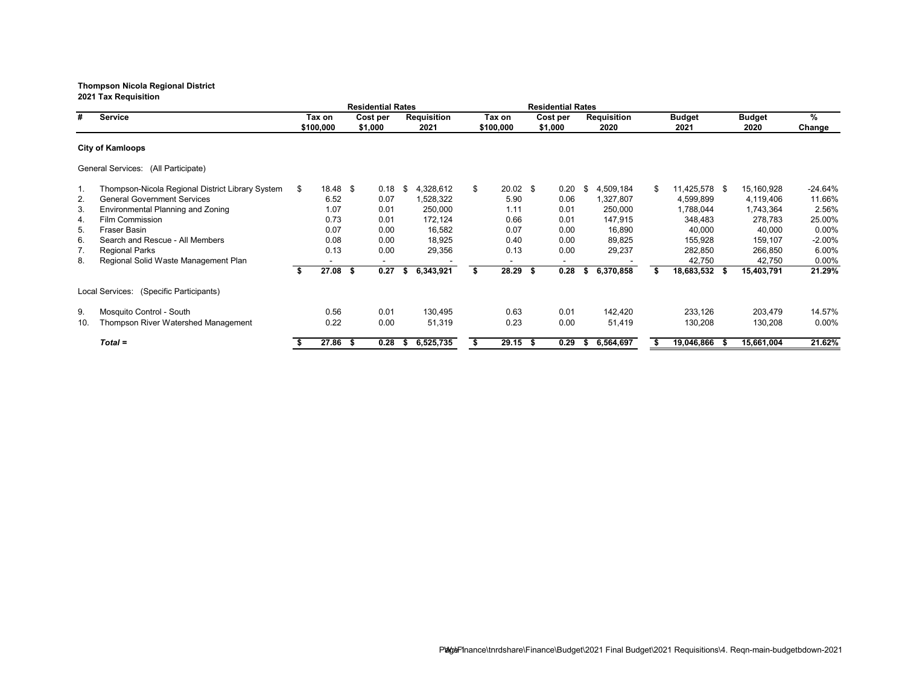**Residential Rates Residential Rates # Service Tax on Cost per Requisition Tax on Cost per Requisition Budget Budget % \$100,000 \$1,000 2021 \$100,000 \$1,000 2020 2021 2020 Change City of Kamloops** General Services: (All Participate) 1. Thompson-Nicola Regional District Library System \$ 18.48 \$ 0.18 \$ 4,328,612 \$ 20.02 \$ 0.20 \$ 4,509,184 \$ 11,425,578 \$ 15,160,928 -24.64% Ceneral Government Services 6.52 6.52 6.52 6.07 1,528,322 5.90 6.06 1,327,807 4,599,899 4,119,406 11.66%<br>Environmental Planning and Zoning 6.52 6.001 250,000 1.11 6.01 250,000 1,788,044 1,743,364 2.56% 3. Environmental Planning and Zoning 1.07 0.01 250,000 1.11 0.01 250,000 1,788,044 1,743,364 2.56% 4. Film Commission 0.73 0.01 172,124 0.66 0.01 147,915 348,483 278,783 25.00% 5. Fraser Basin 0.07 0.00 16,582 0.07 0.00 16,890 40,000 40,000 0.00% 6. Search and Rescue - All Members 0.08 0.00 18,925 0.40 0.00 89,825 155,928 159,107 -2.00% 7. Regional Parks 0.13 0.00 29,356 0.13 0.00 29,237 282,850 266,850 6.00% 8. Regional Solid Waste Management Plan **-** - - - - - - - - - - - - - - 42,750 42,750 0.00%<br> **\$** 27.08 \$ 0.27 \$ 6,343,921 \$ 28.29 \$ 0.28 \$ 6,370,858 \$ 18,683,532 \$ 15,403,791 21.29% **\$ 27.08 \$ 0.27 \$ 6,343,921 \$ 28.29 \$ 0.28 \$ 6,370,858 \$ 18,683,532 \$ 15,403,791 21.29%** Local Services: (Specific Participants) 9. Mosquito Control - South 0.56 0.01 130,495 0.63 0.01 142,420 233,126 203,479 14.57% Thompson River Watershed Management *Total =* **\$ 27.86 \$ 0.28 \$ 6,525,735 \$ 29.15 \$ 0.29 \$ 6,564,697 \$ 19,046,866 \$ 15,661,004 21.62%**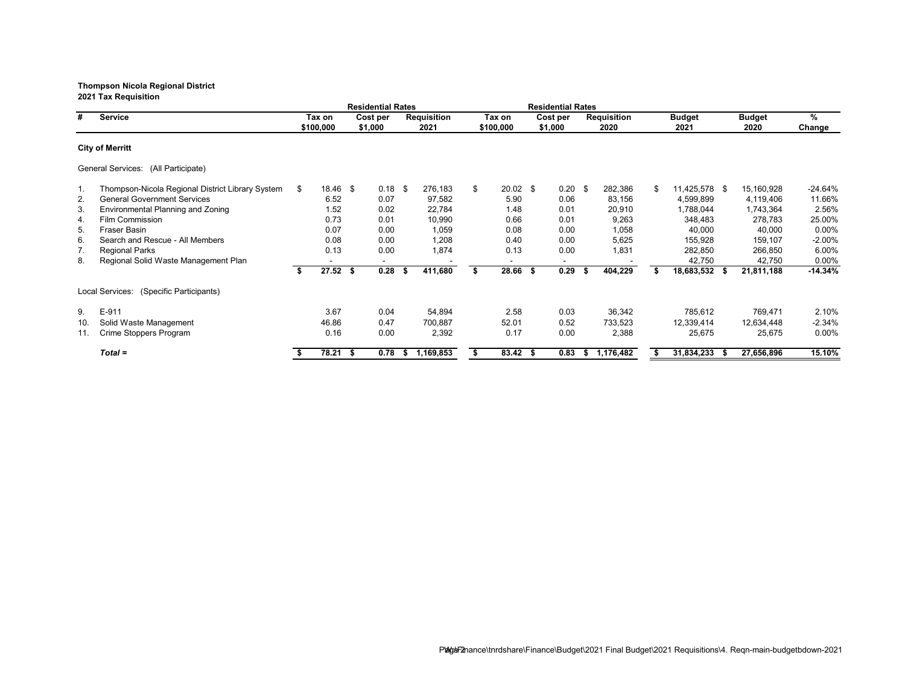**Residential Rates Residential Rates # Service Tax on Cost per Requisition Tax on Cost per Requisition Budget Budget % \$100,000 \$1,000 2021 \$100,000 \$1,000 2020 2021 2020 Change City of Merritt** General Services: (All Participate) 1. Thompson-Nicola Regional District Library System \$ 18.46 \$ 0.18 \$ 276,183 \$ 20.02 \$ 0.20 \$ 282,386 \$ 11,425,578 \$ 15,160,928 -24.64% 97,582 5.90 0.06 83,156 4,599,899 4,119,406 11.66% 6.52 6.52 0.07 97,582 5.90 0.06 83,156 4,599,899 4,119,406 11.66%<br>Environmental Planning and Zoning 6.52 0.02 22,784 1.48 0.01 20,910 1,788,044 1,743,364 2.56% 3. Environmental Planning and Zoning 1.52 0.02 22,784 1.48 0.01 20,910 1,788,044 1,743,364 2.56% 4. Film Commission 0.73 0.01 10,990 0.66 0.01 9,263 348,483 278,783 25.00% 5. Fraser Basin 0.07 0.00 1,059 0.08 0.00 40,000 40,000 0.00% 6. Search and Rescue - All Members 0.08 0.00 1,208 0.40 0.00 5,625 155,928 159,107 -2.00% 7. Regional Parks 0.13 0.00 1,874 0.13 0.00 1,831 282,850 266,850 6.00% 8. Regional Solid Waste Management Plan **- - - - - - - - - - - - - - - 42,750 42,750** 0.00%<br> **\$ 27.52 \$ 0.28 \$ 411,680 \$ 28.66 \$ 0.29 \$ 404,229 \$ 18,683,532 \$ 21,811,188 -14.34% \$ 27.52 \$ 0.28 \$ 411,680 \$ 28.66 \$ 0.29 \$ 404,229 \$ 18,683,532 \$ 21,811,188 -14.34%** Local Services: (Specific Participants) 9. E-911 3.67 0.04 54,894 2.58 0.03 36,342 785,612 769,471 2.10% 10. Solid Waste Management 46.86 0.47 700,887 52.01 0.52 733,523 12,339,414 12,634,448 -2.34% 11. Crime Stoppers Program *Total =* **\$ 78.21 \$ 0.78 \$ 1,169,853 \$ 83.42 \$ 0.83 \$ 1,176,482 \$ 31,834,233 \$ 27,656,896 15.10%**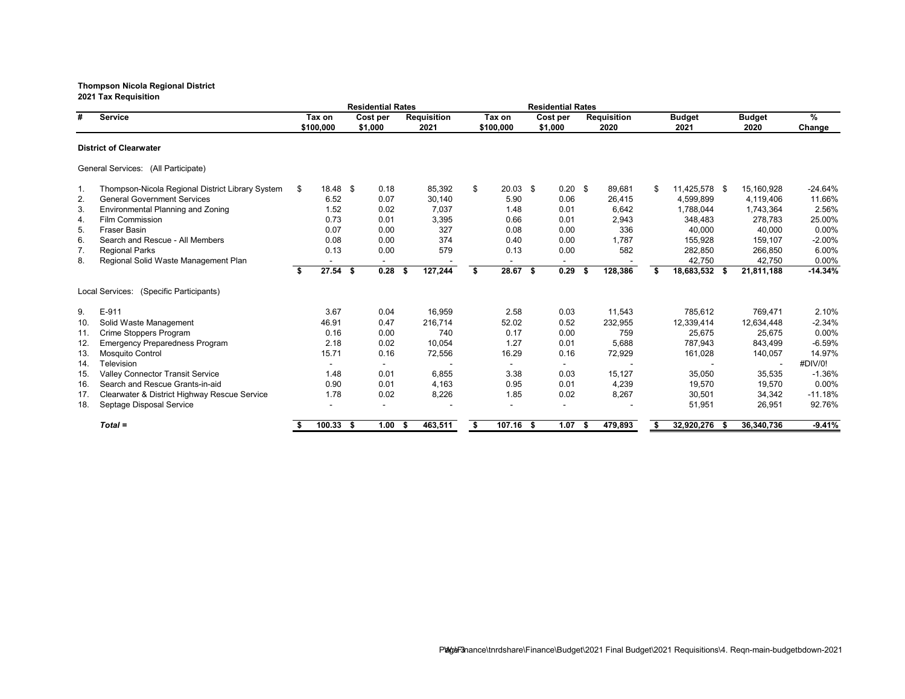**Residential Rates Residential Rates # Service Tax on Cost per Requisition Tax on Cost per Requisition Budget Budget % \$100,000 \$1,000 2021 \$100,000 \$1,000 2020 2021 2020 Change District of Clearwater** General Services: (All Participate) 1. Thompson-Nicola Regional District Library System \$ 18.48 \$ 0.18 85,392 \$ 20.03 \$ 0.20 \$ 89,681 \$ 11,425,578 \$ 15,160,928 -24.64% 2.56% General Government Services (1.66% 6.52  $6.52$  0.07  $30,140$  5.90  $6.64$ <br>
5.90  $26,415$  4,599,899  $4,119,406$  11.66% Environmental Planning and Zoning (2.56% 1.52 0.02 7,037 1.48 0.01 6,642 1,788,044 1,783,364 2.56% 3. Environmental Planning and Zoning 1.52 0.02 7,037 1.48 0.01 6,642 1,788,044 1,743,364 2.56% 4. Film Commission 0.73 0.01 3,395 0.66 0.01 2,943 348,483 278,783 25.00% 5. Fraser Basin 0.07 0.00 327 0.08 0.00 40,000 40,000 0.00% 6. Search and Rescue - All Members 0.08 0.00 374 0.40 0.00 1,787 155,928 159,107 -2.00% 7. Regional Parks 0.13 0.00 579 0.13 0.00 582 282,850 266,850 6.00% 8. Regional Solid Waste Management Plan **- - - - - - - - - - - - - - - 42,750 42,750** 0.00%<br> **\$** 27.54 \$ 0.28 \$ 127,244 \$ 28.67 \$ 0.29 \$ 128,386 \$ 18,683,532 \$ 21,811,188 -14.34% **\$ 27.54 \$ 0.28 \$ 127,244 \$ 28.67 \$ 0.29 \$ 128,386 \$ 18,683,532 \$ 21,811,188 -14.34%** Local Services: (Specific Participants) 9. E-911 3.67 0.04 16,959 2.58 0.03 11,543 785,612 769,471 2.10% 10. Solid Waste Management 46.91 0.47 216,714 52.02 0.52 232,955 12,339,414 12,634,448 -2.34% 11. Crime Stoppers Program 0.16 0.00 740 0.17 0.00 759 25,675 25,675 0.00% 12. Emergency Preparedness Program 2.18 0.02 10,054 1.27 0.01 5,688 787,943 843,499 -6.59% 13. Mosquito Control 15.71 0.16 72,556 16.29 0.16 72,929 161,028 140,057 14.97% 14. Television - - - - - - - - #DIV/0! 15. Valley Connector Transit Service 1.48 0.01 6,855 3.38 0.03 15,127 35,050 35,535 -1.36% 16. Search and Rescue Grants-in-aid 0.90 0.01 4,163 0.95 0.01 4,239 19,570 19,570 0.00% 17. Clearwater & District Highway Rescue Service 1.78 0.02 8,226 1.85 0.02 8,267 30,501 34,342 -11.18% 18. Septage Disposal Service **18. Comparison Comparison Comparison Comparison Comparison Comparison Comparison Comparison Comparison Comparison Comparison Comparison Comparison Comparison Comparison Comparison Comparison C** *Total =* **\$ 100.33 \$ 1.00 \$ 463,511 \$ 107.16 \$ 1.07 \$ 479,893 \$ 32,920,276 \$ 36,340,736 -9.41%**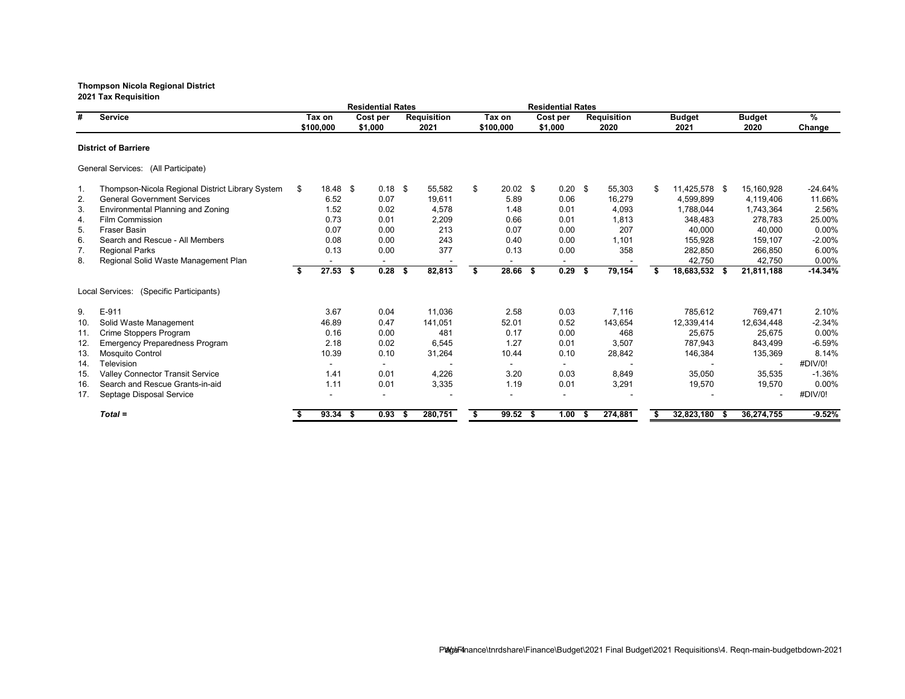**Residential Rates Residential Rates # Service Tax on Cost per Requisition Tax on Cost per Requisition Budget Budget % \$100,000 \$1,000 2021 \$100,000 \$1,000 2020 2021 2020 Change District of Barriere** General Services: (All Participate) 1. Thompson-Nicola Regional District Library System \$ 18.48 \$ 0.18 \$ 55,582 \$ 20.02 \$ 0.20 \$ 55,303 \$ 11,425,578 \$ 15,160,928 -24.64% 2.56% General Government Services 6.52 6.52 6.52 6.07 19,611 6.289 6.98 6.97 6.989 6.97 6.979 6.52<br>Environmental Planning and Zoning 6.52 6.02 4,578 1.48 6.01 4,093 1.788,044 1.743,364 2.56% 3. Environmental Planning and Zoning 1.52 0.02 4,578 1.48 0.01 4,093 1,788,044 1,743,364 2.56% 4. Film Commission 0.73 0.01 2,209 0.66 0.01 1,813 348,483 278,783 25.00% 5. Fraser Basin 0.07 0.00 213 0.07 0.00 40,000 40,000 0.00% 6. Search and Rescue - All Members 0.08 0.00 243 0.40 0.00 1,101 155,928 159,107 -2.00% 7. Regional Parks 0.13 0.00 377 0.13 0.00 358 282,850 266,850 6.00% 8. Regional Solid Waste Management Plan **-** - - - - - - - - - - - - - - 42,750 42,750 0.00%<br> **\$** 27.53 \$ 0.28 \$ 82,813 \$ 28.66 \$ 0.29 \$ 79,154 \$ 18,683,532 \$ 21,811,188 -14.34% **\$ 27.53 \$ 0.28 \$ 82,813 \$ 28.66 \$ 0.29 \$ 79,154 \$ 18,683,532 \$ 21,811,188 -14.34%** Local Services: (Specific Participants) 9. E-911 3.67 0.04 11,036 2.58 0.03 7,116 785,612 769,471 2.10% 10. Solid Waste Management 46.89 0.47 141,051 52.01 0.52 143,654 12,339,414 12,634,448 -2.34% 11. Crime Stoppers Program 0.16 0.00 481 0.17 0.00 468 25,675 25,675 0.00% 12. Emergency Preparedness Program 2.18 0.02 6,545 1.27 0.01 3,507 787,943 843,499 13. Mosquito Control 10.39 0.10 31,264 10.44 0.10 28,842 146,384 135,369 8.14% 14. Television - - - - - - - - #DIV/0! 15. Valley Connector Transit Service 1.41 0.01 4,226 3.20 0.03 8,849 35,050 35,535 -1.36% 16. Search and Rescue Grants-in-aid 1.11 0.01 3,335 1.19 0.01 3,291 19,570 19,570 0.00% 17. Septage Disposal Service - - - - - - - - #DIV/0! *Total =* **\$ 93.34 \$ 0.93 \$ 280,751 \$ 99.52 \$ 1.00 \$ 274,881 \$ 32,823,180 \$ 36,274,755 -9.52%**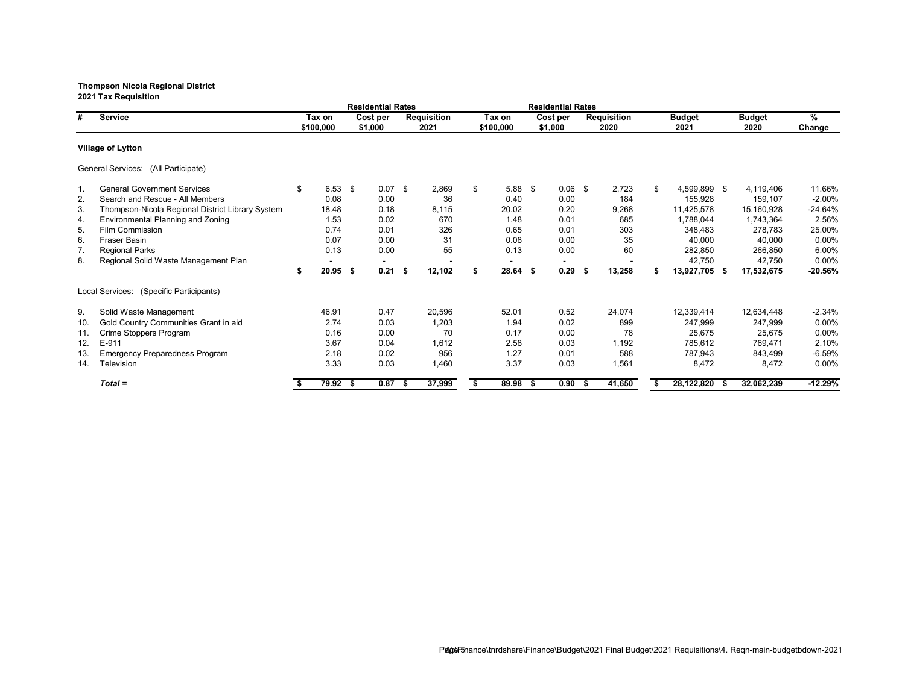**Residential Rates Residential Rates # Service Tax on Cost per Requisition Tax on Cost per Requisition Budget Budget % \$100,000 \$1,000 2021 \$100,000 \$1,000 2020 2021 2020 Change Village of Lytton** General Services: (All Participate) 1. General Government Services \$ 6.53 \$ 0.07 \$ 2,869 \$ 5.88 \$ 0.06 \$ 2,723 \$ 4,599,899 \$ 4,119,406 11.66% 2. Search and Rescue - All Members 0.08 0.00 36 0.40 0.00 184 155,928 159,107 -2.00% 3. Thompson-Nicola Regional District Library System 18.48 0.18 8,115 20.02 0.20 9,268 11,425,578 15,160,928 -24.64% 4. Environmental Planning and Zoning 1.53 0.02 670 1.48 0.01 685 1,788,044 1,743,364 2.56% 5. Film Commission 0.74 0.01 326 0.65 0.01 303 348,483 278,783 25.00% 6. Fraser Basin 0.07 0.00 31 0.08 0.00 35 40,000 40,000 0.00% 7. Regional Parks 0.13 0.00 55 0.13 0.00 60 282,850 266,850 6.00% 8. Regional Solid Waste Management Plan **-** - - - - - - - - - - - - - - - 42,750 42,750 0.00%<br> **\$** 20.95 \$ 0.21 \$ 12,102 \$ 28.64 \$ 0.29 \$ 13,258 \$ 13,927,705 \$ 17,532,675 -20.56% **\$ 20.95 \$ 0.21 \$ 12,102 \$ 28.64 \$ 0.29 \$ 13,258 \$ 13,927,705 \$ 17,532,675 -20.56%** Local Services: (Specific Participants) 9. Solid Waste Management **12,634,448** and the state of the state of the state of the state of the state of the state of the state of the state of the state of the state of the state of the state of the state of the state 10. Gold Country Communities Grant in aid 2.74 0.03 1,203 1.94 0.02 899 247,999 247,999 0.00% 0.16 0.00 70 0.17 0.00 78 25,675 25,675 0.00% 11. Crime Stoppers Program 20.00 0.16 0.00 70 0.17 0.00 178 25,675 25,675 0.00% 12.10% 12. E-911 3.67 0.04 1,612 2.58 0.03 1,192 785,612 769,471 2.10% 13. Emergency Preparedness Program 2.18 0.02 956 1.27 0.01 588 787,943 843,499 -6.59% 14. Television 3.33 0.03 1,460 3.37 0.03 1,561 8,472 8,472 0.00% *Total =* **\$ 79.92 \$ 0.87 \$ 37,999 \$ 89.98 \$ 0.90 \$ 41,650 \$ 28,122,820 \$ 32,062,239 -12.29%**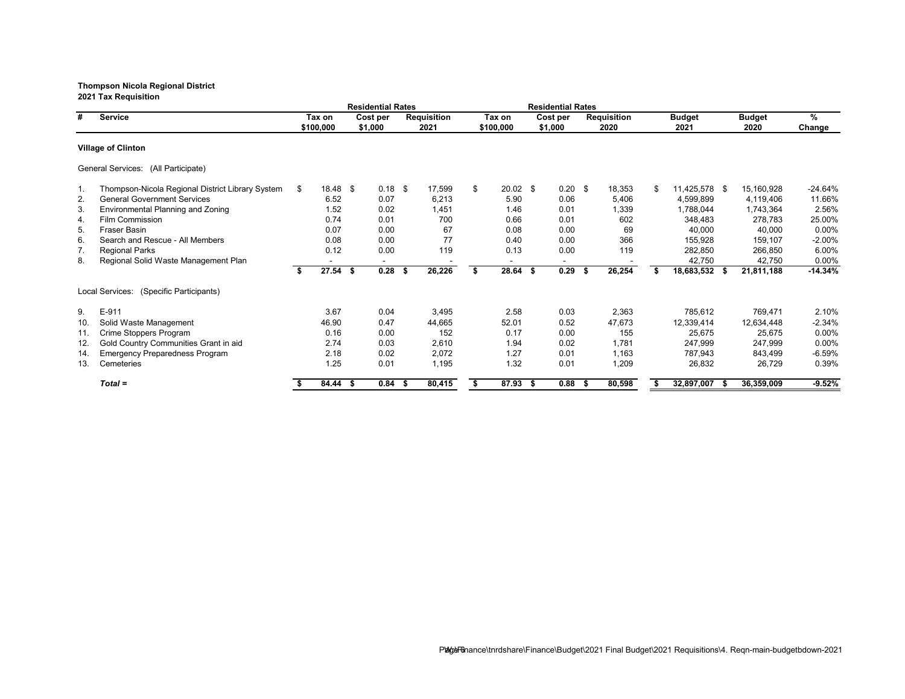**Residential Rates Residential Rates # Service Tax on Cost per Requisition Tax on Cost per Requisition Budget Budget % \$100,000 \$1,000 2021 \$100,000 \$1,000 2020 2021 2020 Change Village of Clinton** General Services: (All Participate) 1. Thompson-Nicola Regional District Library System \$ 18.48 \$ 0.18 \$ 17,599 \$ 20.02 \$ 0.20 \$ 18,353 \$ 11,425,578 \$ 15,160,928 -24.64% 2.56% General Government Services 6.52 6.52 6.07 6,213 5.90 6.206 5,406 4,599,899 4,119,406 11.66%<br>Environmental Planning and Zoning 6.52 6.02 1,451 1.46 6.01 1,339 1,788,044 1,783,364 2.56% 3. Environmental Planning and Zoning 1.52 0.02 1,451 1.46 0.01 1,339 1,788,044 1,743,364 2.56% 4. Film Commission 0.74 0.01 700 0.66 0.01 602 348,483 278,783 25.00% 5. Fraser Basin 0.07 0.00 67 0.08 0.00 69 40,000 40,000 0.00% 6. Search and Rescue - All Members 0.08 0.00 77 0.40 0.00 366 155,928 159,107 -2.00% 7. Regional Parks 0.12 0.00 119 0.13 0.00 119 282,850 266,850 6.00% 8. Regional Solid Waste Management Plan **-** - - - - - - - - - - - - - - - 42,750 42,750 0.00%<br> **\$** 27.54 \$ 0.28 \$ 26,226 \$ 28.64 \$ 0.29 \$ 26,254 \$ 18,683,532 \$ 21,811,188 -14.34% **\$ 27.54 \$ 0.28 \$ 26,226 \$ 28.64 \$ 0.29 \$ 26,254 \$ 18,683,532 \$ 21,811,188 -14.34%** Local Services: (Specific Participants) 9. E-911 3.67 0.04 3,495 2.58 0.03 2,363 785,612 769,471 2.10% 10. Solid Waste Management 46.90 0.47 44,665 52.01 0.52 47,673 12,339,414 12,634,448 -2.34% 11. Crime Stoppers Program 0.16 0.00 152 0.17 0.00 155 25,675 25,675 0.00% 12. Gold Country Communities Grant in aid 2.74 0.03 2,610 1.94 0.02 1,781 247,999 247,999 0.00% 14. Emergency Preparedness Program 2.18 0.02 2,072 1.27 0.01 1,163 787,943 13. Cemeteries 1.25 0.01 1,195 1.32 0.01 1,209 26,832 26,729 0.39% *Total =* **\$ 84.44 \$ 0.84 \$ 80,415 \$ 87.93 \$ 0.88 \$ 80,598 \$ 32,897,007 \$ 36,359,009 -9.52%**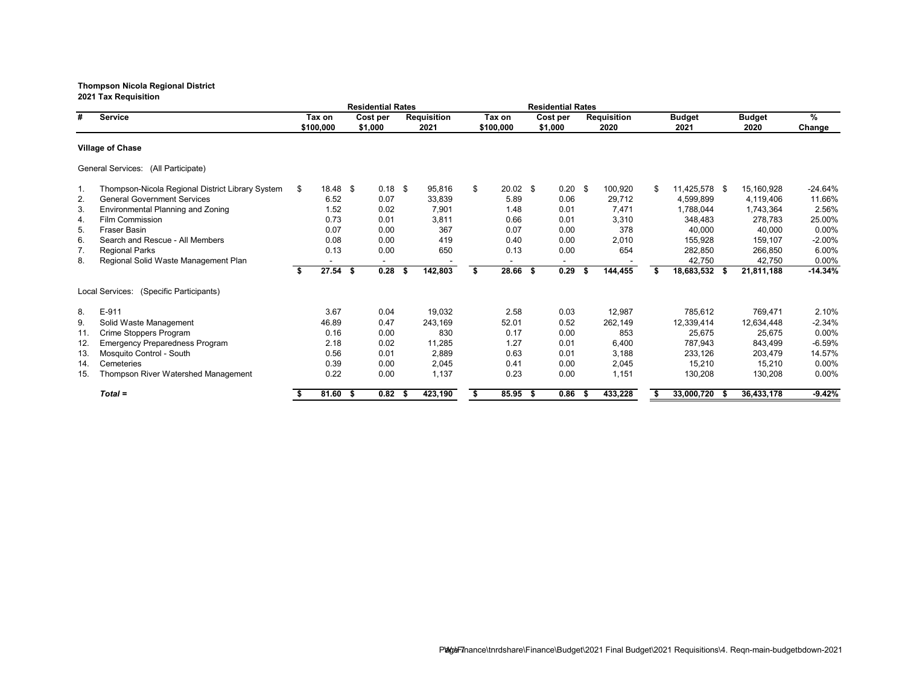**Residential Rates Residential Rates # Service Tax on Cost per Requisition Tax on Cost per Requisition Budget Budget % \$100,000 \$1,000 2021 \$100,000 \$1,000 2020 2021 2020 Change Village of Chase** General Services: (All Participate) 1. Thompson-Nicola Regional District Library System \$ 18.48 \$ 0.18 \$ 95,816 \$ 20.02 \$ 0.20 \$ 100,920 \$ 11,425,578 \$ 15,160,928 -24.64% 9 General Government Services (1.66%) 6.52 6.52 6.62 6.62 6.62 5.89 6.92 6.96 6.52 5.89 6.92 6.97 6.989 6.52 6.97 6.98 6.52 6.97 6.98 6.52 6.97 6.98 6.52 6.97 6.98 6.52 6.98 6.52 6.98 6.52 56% 6.97 6.98 6.52 6.98 6.97 6.98 3. Environmental Planning and Zoning 1.52 0.02 7,901 1.48 0.01 7,471 1,788,044 1,743,364 2.56% 4. Film Commission 0.73 0.01 3,811 0.66 0.01 3,310 348,483 278,783 25.00% 5. Fraser Basin 0.07 0.00 367 0.07 0.00 378 40,000 40,000 0.00% 6. Search and Rescue - All Members 0.08 0.00 419 0.40 0.00 2,010 155,928 159,107 -2.00% 7. Regional Parks 0.13 0.00 650 0.13 0.00 654 282,850 266,850 6.00% 8. Regional Solid Waste Management Plan **- - - - - - - - - - - - - - - 42,750 42,750** 0.00%<br> **\$27.54 \$0.28 \$142,803** \$28.66 \$0.29 \$144,455 \$18,683,532 \$21,811,188 -14.34% **\$ 27.54 \$ 0.28 \$ 142,803 \$ 28.66 \$ 0.29 \$ 144,455 \$ 18,683,532 \$ 21,811,188 -14.34%** Local Services: (Specific Participants) 8. E-911 3.67 0.04 19,032 2.58 0.03 12,987 785,612 769,471 2.10% 9. Solid Waste Management 46.89 0.47 243,169 52.01 0.52 262,149 12,339,414 12,634,448 -2.34% 11. Crime Stoppers Program 0.16 0.00 830 0.17 0.00 853 25,675 25,675 0.00% 12. Emergency Preparedness Program 2.18 0.02 11,285 1.27 0.01 6,400 787,943 843,499 -6.59% 13. Mosquito Control - South 0.56 0.01 2,889 0.63 0.01 3,188 233,126 203,479 14.57% 14. Cemeteries 0.39 0.00 2,045 0.41 0.00 2,045 15,210 15,210 0.00% 15. Thompson River Watershed Management 0.22 0.00 1,137 0.23 0.00 1,151 130,208 130,208 0.00% *Total =* **\$ 81.60 \$ 0.82 \$ 423,190 \$ 85.95 \$ 0.86 \$ 433,228 \$ 33,000,720 \$ 36,433,178 -9.42%**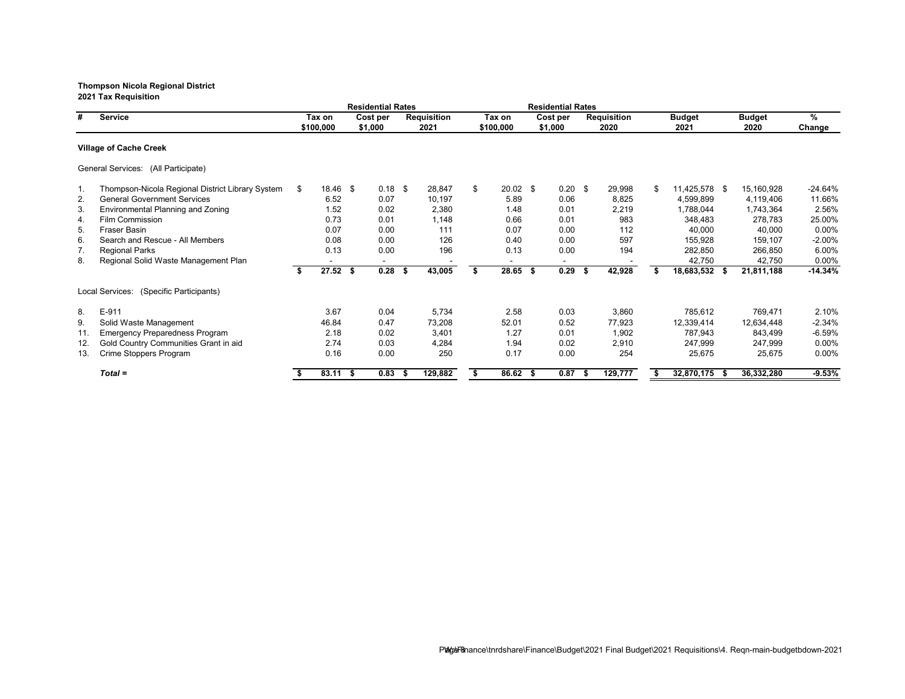**Residential Rates Residential Rates # Service Tax on Cost per Requisition Tax on Cost per Requisition Budget Budget % \$100,000 \$1,000 2021 \$100,000 \$1,000 2020 2021 2020 Change Village of Cache Creek** General Services: (All Participate) 1. Thompson-Nicola Regional District Library System \$ 18.46 \$ 0.18 \$ 28,847 \$ 20.02 \$ 0.20 \$ 29,998 \$ 11,425,578 \$ 15,160,928 -24.64% 2.56% General Government Services (1.66% 6.52 0.07 10,197 5.89 0.06 8,825 4,599,899 4,119,406 11.66%<br>Environmental Planning and Zoning 1.52 0.02 2,380 1.48 0.01 2,219 1.788,044 1,743,364 2.56% 3. Environmental Planning and Zoning 1.52 0.02 2,380 1.48 0.01 2,219 1,788,044 1,743,364 2.56% 4. Film Commission 0.73 0.01 1,148 0.66 0.01 983 348,483 278,783 25.00% 5. Fraser Basin 0.07 0.00 111 0.07 0.00 112 40,000 40,000 0.00% 6. Search and Rescue - All Members 0.08 0.00 126 0.40 0.00 597 155,928 159,107 -2.00% 7. Regional Parks 0.13 0.00 196 0.13 0.00 194 282,850 266,850 6.00% 8. Regional Solid Waste Management Plan **-** - - - - - - - - - - - - - - - 42,750 42,750 0.00%<br> **\$** 27.52 \$ 0.28 \$ 43,005 \$ 28.65 \$ 0.29 \$ 42,928 \$ 18,683,532 \$ 21,811,188 -14.34% **\$ 27.52 \$ 0.28 \$ 43,005 \$ 28.65 \$ 0.29 \$ 42,928 \$ 18,683,532 \$ 21,811,188 -14.34%** Local Services: (Specific Participants) 8. E-911 3.67 0.04 5,734 2.58 0.03 3,860 785,612 769,471 2.10% 9. Solid Waste Management 46.84 0.47 73,208 52.01 0.52 77,923 12,339,414 12,634,448 -2.34% 11. Emergency Preparedness Program 2.18 0.02 3,401 1.27 0.01 1,902 787,943 843,499 -6.59% 12. Gold Country Communities Grant in aid 2.74 0.03 4,284 1.94 0.02 2,910 247,999 247,999 0.00% 13. Crime Stoppers Program  $0.16$  0.00 250 0.17 0.00 254 25,675 25,675 *Total =* **\$ 83.11 \$ 0.83 \$ 129,882 \$ 86.62 \$ 0.87 \$ 129,777 \$ 32,870,175 \$ 36,332,280 -9.53%**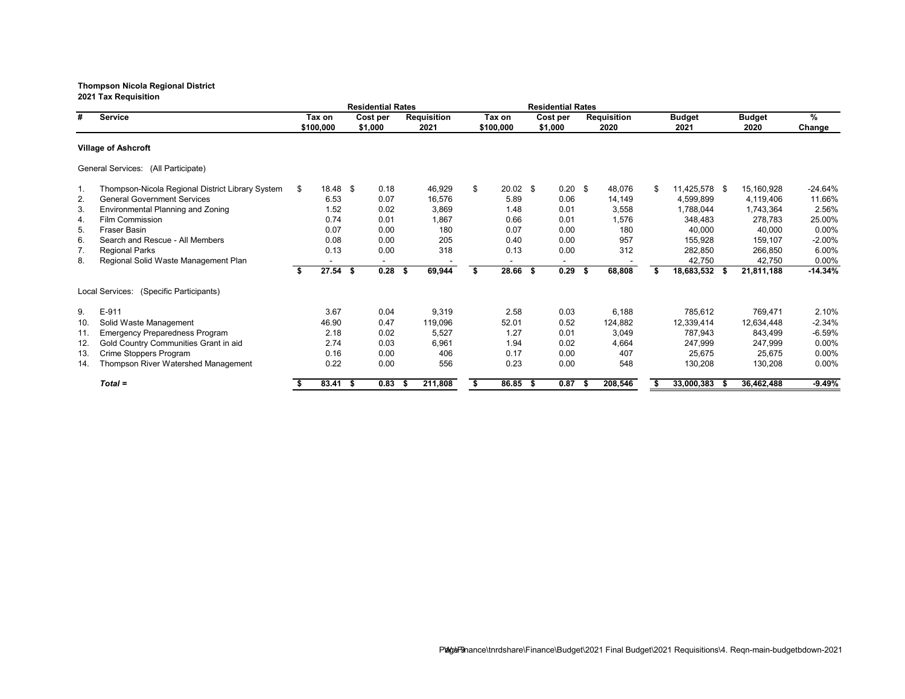**Residential Rates Residential Rates # Service Tax on Cost per Requisition Tax on Cost per Requisition Budget Budget % \$100,000 \$1,000 2021 \$100,000 \$1,000 2020 2021 2020 Change Village of Ashcroft** General Services: (All Participate) 1. Thompson-Nicola Regional District Library System \$ 18.48 \$ 0.18 46,929 \$ 20.02 \$ 0.20 \$ 48,076 \$ 11,425,578 \$ 15,160,928 -24.64% 9 General Government Services (1.66%) 6.53 6.53 6.63 6.63 6.676 5.89 6.96 6.97 6.89 6.97 6.989 6.676 6.53 6.69<br>1.52 6.02 5.869 6.48 6.01 5.558 1.788,044 1.743,364 2.56% 3. Environmental Planning and Zoning 1.52 0.02 3,869 1.48 0.01 3,558 1,788,044 1,743,364 2.56% 4. Film Commission 0.74 0.01 1,867 0.66 0.01 1,576 348,483 278,783 25.00% 5. Fraser Basin 0.07 0.00 180 0.00 180 40,000 40,000 0.00% 6. Search and Rescue - All Members 0.08 0.00 205 0.40 0.00 957 155,928 159,107 -2.00% 7. Regional Parks 0.13 0.00 318 0.13 0.00 312 282,850 266,850 6.00% 8. Regional Solid Waste Management Plan **- - - - - - - - - - - - - - - 42,750 42,750** 0.00%<br> **\$ 27.54 \$ 0.28 \$ 69,944 \$ 28.66 \$ 69.29 \$ 68,808 \$ 18,683,532 \$ 21,811,188 -14.34% \$ 27.54 \$ 0.28 \$ 69,944 \$ 28.66 \$ 0.29 \$ 68,808 \$ 18,683,532 \$ 21,811,188 -14.34%** Local Services: (Specific Participants) 9. E-911 3.67 0.04 9,319 2.58 0.03 6,188 785,612 769,471 2.10% 10. Solid Waste Management 46.90 0.47 119,096 52.01 0.52 124,882 12,339,414 12,634,448 -2.34% 11. Emergency Preparedness Program 2.18 0.02 5,527 1.27 0.01 3,049 787,943 843,499 -6.59% 12. Gold Country Communities Grant in aid 2.74 0.03 6,961 1.94 0.02 4,664 247,999 247,999 0.00% 13. Crime Stoppers Program 0.16 0.00 406 0.17 0.00 407 25,675 25,675 0.00% 14. Thompson River Watershed Management  $0.22$   $0.00$   $556$   $0.23$   $0.00$   $548$  130,208 130,208 0.00% *Total =* **\$ 83.41 \$ 0.83 \$ 211,808 \$ 86.85 \$ 0.87 \$ 208,546 \$ 33,000,383 \$ 36,462,488 -9.49%**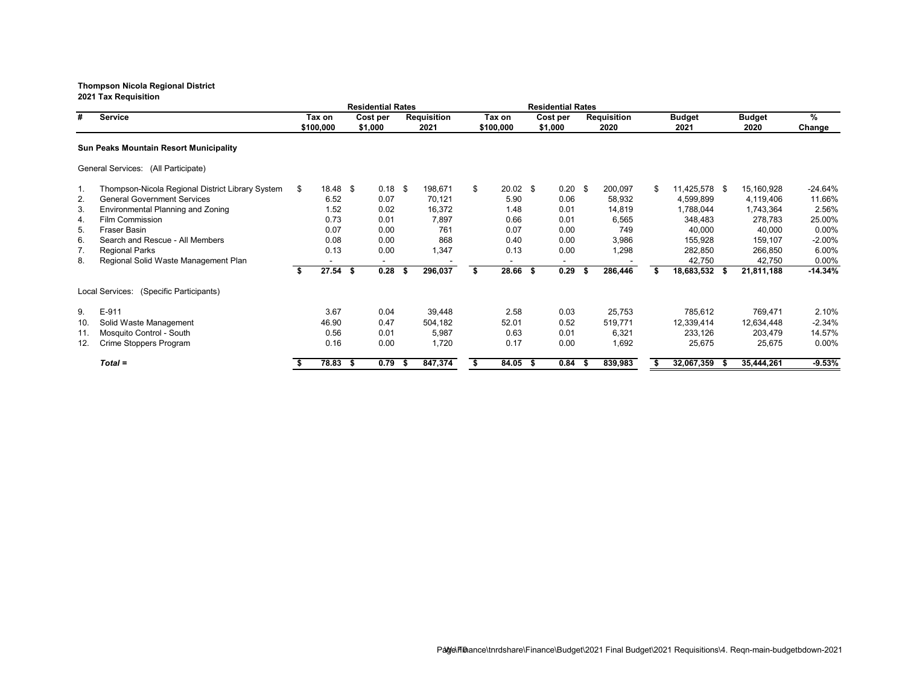# **Thompson Nicola Regional District**

**2021 Tax Requisition**

|     | <b>Service</b>                                   | <b>Residential Rates</b> |                |      |                          |      |                    | <b>Residential Rates</b> |                  |      |           |  |                    |    |               |      |               |           |
|-----|--------------------------------------------------|--------------------------|----------------|------|--------------------------|------|--------------------|--------------------------|------------------|------|-----------|--|--------------------|----|---------------|------|---------------|-----------|
| #   |                                                  | Tax on                   |                |      | Cost per<br>\$1,000      |      | <b>Requisition</b> |                          | Tax on           |      | Cost per  |  | <b>Requisition</b> |    | <b>Budget</b> |      | <b>Budget</b> | %         |
|     |                                                  |                          | \$100,000      |      |                          |      | 2021               | \$100,000                |                  |      | \$1,000   |  | 2020               |    | 2021          |      | 2020          | Change    |
|     | <b>Sun Peaks Mountain Resort Municipality</b>    |                          |                |      |                          |      |                    |                          |                  |      |           |  |                    |    |               |      |               |           |
|     | General Services: (All Participate)              |                          |                |      |                          |      |                    |                          |                  |      |           |  |                    |    |               |      |               |           |
| 1.  | Thompson-Nicola Regional District Library System | S.                       | $18.48$ \$     |      | 0.18                     | \$   | 198,671            | \$                       | $20.02 \quad$ \$ |      | $0.20$ \$ |  | 200,097            | \$ | 11,425,578 \$ |      | 15,160,928    | $-24.64%$ |
| 2.  | <b>General Government Services</b>               |                          | 6.52           |      | 0.07                     |      | 70,121             |                          | 5.90             |      | 0.06      |  | 58,932             |    | 4,599,899     |      | 4,119,406     | 11.66%    |
| 3.  | <b>Environmental Planning and Zoning</b>         |                          | 1.52           |      | 0.02                     |      | 16,372             |                          | 1.48             |      | 0.01      |  | 14,819             |    | 1,788,044     |      | 1,743,364     | 2.56%     |
| 4.  | Film Commission                                  |                          | 0.73           |      | 0.01                     |      | 7,897              |                          | 0.66             |      | 0.01      |  | 6,565              |    | 348,483       |      | 278,783       | 25.00%    |
| 5.  | <b>Fraser Basin</b>                              |                          | 0.07           |      | 0.00                     |      | 761                |                          | 0.07             |      | 0.00      |  | 749                |    | 40,000        |      | 40,000        | 0.00%     |
| 6.  | Search and Rescue - All Members                  |                          | 0.08           |      | 0.00                     |      | 868                |                          | 0.40             |      | 0.00      |  | 3,986              |    | 155,928       |      | 159,107       | $-2.00%$  |
| 7.  | <b>Regional Parks</b>                            |                          | 0.13           |      | 0.00                     |      | 1,347              |                          | 0.13             |      | 0.00      |  | 1,298              |    | 282,850       |      | 266,850       | 6.00%     |
| 8.  | Regional Solid Waste Management Plan             |                          | $\blacksquare$ |      | $\overline{\phantom{0}}$ |      |                    |                          |                  |      |           |  |                    |    | 42,750        |      | 42,750        | 0.00%     |
|     |                                                  |                          | $27.54$ \$     |      | 0.28                     | - \$ | 296,037            |                          | 28.66 \$         |      | 0.29      |  | 286,446            |    | 18,683,532 \$ |      | 21,811,188    | $-14.34%$ |
|     | Local Services: (Specific Participants)          |                          |                |      |                          |      |                    |                          |                  |      |           |  |                    |    |               |      |               |           |
| 9.  | E-911                                            |                          | 3.67           |      | 0.04                     |      | 39,448             |                          | 2.58             |      | 0.03      |  | 25,753             |    | 785,612       |      | 769,471       | 2.10%     |
| 10. | Solid Waste Management                           |                          | 46.90          |      | 0.47                     |      | 504,182            |                          | 52.01            |      | 0.52      |  | 519,771            |    | 12,339,414    |      | 12,634,448    | $-2.34%$  |
| 11. | Mosquito Control - South                         |                          | 0.56           |      | 0.01                     |      | 5,987              |                          | 0.63             |      | 0.01      |  | 6,321              |    | 233,126       |      | 203,479       | 14.57%    |
| 12. | Crime Stoppers Program                           |                          | 0.16           |      | 0.00                     |      | 1,720              |                          | 0.17             |      | 0.00      |  | 1,692              |    | 25,675        |      | 25,675        | 0.00%     |
|     | $Total =$                                        |                          | 78.83          | - \$ | 0.79                     |      | 847,374            |                          | 84.05            | - \$ | 0.84      |  | 839,983            |    | 32,067,359    | - 56 | 35,444,261    | $-9.53%$  |